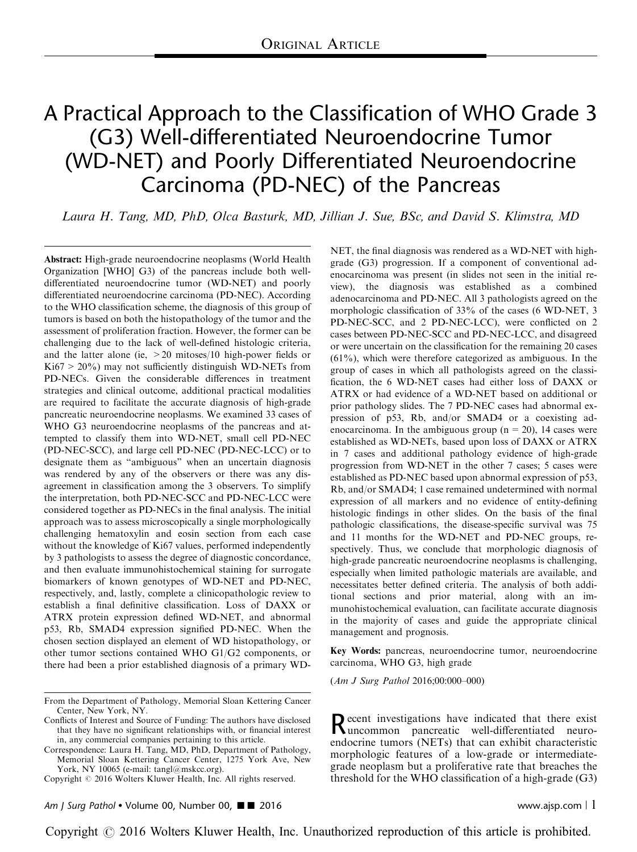# A Practical Approach to the Classification of WHO Grade 3 (G3) Well-differentiated Neuroendocrine Tumor (WD-NET) and Poorly Differentiated Neuroendocrine Carcinoma (PD-NEC) of the Pancreas

Laura H. Tang, MD, PhD, Olca Basturk, MD, Jillian J. Sue, BSc, and David S. Klimstra, MD

Abstract: High-grade neuroendocrine neoplasms (World Health Organization [WHO] G3) of the pancreas include both welldifferentiated neuroendocrine tumor (WD-NET) and poorly differentiated neuroendocrine carcinoma (PD-NEC). According to the WHO classification scheme, the diagnosis of this group of tumors is based on both the histopathology of the tumor and the assessment of proliferation fraction. However, the former can be challenging due to the lack of well-defined histologic criteria, and the latter alone (ie, >20 mitoses/10 high-power fields or  $Ki67 > 20\%)$  may not sufficiently distinguish WD-NETs from PD-NECs. Given the considerable differences in treatment strategies and clinical outcome, additional practical modalities are required to facilitate the accurate diagnosis of high-grade pancreatic neuroendocrine neoplasms. We examined 33 cases of WHO G3 neuroendocrine neoplasms of the pancreas and attempted to classify them into WD-NET, small cell PD-NEC (PD-NEC-SCC), and large cell PD-NEC (PD-NEC-LCC) or to designate them as "ambiguous" when an uncertain diagnosis was rendered by any of the observers or there was any disagreement in classification among the 3 observers. To simplify the interpretation, both PD-NEC-SCC and PD-NEC-LCC were considered together as PD-NECs in the final analysis. The initial approach was to assess microscopically a single morphologically challenging hematoxylin and eosin section from each case without the knowledge of Ki67 values, performed independently by 3 pathologists to assess the degree of diagnostic concordance, and then evaluate immunohistochemical staining for surrogate biomarkers of known genotypes of WD-NET and PD-NEC, respectively, and, lastly, complete a clinicopathologic review to establish a final definitive classification. Loss of DAXX or ATRX protein expression defined WD-NET, and abnormal p53, Rb, SMAD4 expression signified PD-NEC. When the chosen section displayed an element of WD histopathology, or other tumor sections contained WHO G1/G2 components, or there had been a prior established diagnosis of a primary WD-

NET, the final diagnosis was rendered as a WD-NET with highgrade (G3) progression. If a component of conventional adenocarcinoma was present (in slides not seen in the initial review), the diagnosis was established as a combined adenocarcinoma and PD-NEC. All 3 pathologists agreed on the morphologic classification of 33% of the cases (6 WD-NET, 3 PD-NEC-SCC, and 2 PD-NEC-LCC), were conflicted on 2 cases between PD-NEC-SCC and PD-NEC-LCC, and disagreed or were uncertain on the classification for the remaining 20 cases (61%), which were therefore categorized as ambiguous. In the group of cases in which all pathologists agreed on the classification, the 6 WD-NET cases had either loss of DAXX or ATRX or had evidence of a WD-NET based on additional or prior pathology slides. The 7 PD-NEC cases had abnormal expression of p53, Rb, and/or SMAD4 or a coexisting adenocarcinoma. In the ambiguous group ( $n = 20$ ), 14 cases were established as WD-NETs, based upon loss of DAXX or ATRX in 7 cases and additional pathology evidence of high-grade progression from WD-NET in the other 7 cases; 5 cases were established as PD-NEC based upon abnormal expression of p53, Rb, and/or SMAD4; 1 case remained undetermined with normal expression of all markers and no evidence of entity-defining histologic findings in other slides. On the basis of the final pathologic classifications, the disease-specific survival was 75 and 11 months for the WD-NET and PD-NEC groups, respectively. Thus, we conclude that morphologic diagnosis of high-grade pancreatic neuroendocrine neoplasms is challenging, especially when limited pathologic materials are available, and necessitates better defined criteria. The analysis of both additional sections and prior material, along with an immunohistochemical evaluation, can facilitate accurate diagnosis in the majority of cases and guide the appropriate clinical management and prognosis.

Key Words: pancreas, neuroendocrine tumor, neuroendocrine carcinoma, WHO G3, high grade

(Am J Surg Pathol 2016;00:000–000)

Recent investigations have indicated that there exist uncommon pancreatic well-differentiated neuroendocrine tumors (NETs) that can exhibit characteristic morphologic features of a low-grade or intermediategrade neoplasm but a proliferative rate that breaches the threshold for the WHO classification of a high-grade (G3)

Am J Surg Pathol • Volume 00, Number 00,  $\blacksquare$  2016 www.ajsp.com | 1

From the Department of Pathology, Memorial Sloan Kettering Cancer Center, New York, NY.

Conflicts of Interest and Source of Funding: The authors have disclosed that they have no significant relationships with, or financial interest in, any commercial companies pertaining to this article.

Correspondence: Laura H. Tang, MD, PhD, Department of Pathology, Memorial Sloan Kettering Cancer Center, 1275 York Ave, New York, NY 10065 (e-mail: [tangl@mskcc.org](mailto:tangl@mskcc.org)).

Copyright © 2016 Wolters Kluwer Health, Inc. All rights reserved.

Copyright  $\odot$  2016 Wolters Kluwer Health, Inc. Unauthorized reproduction of this article is prohibited.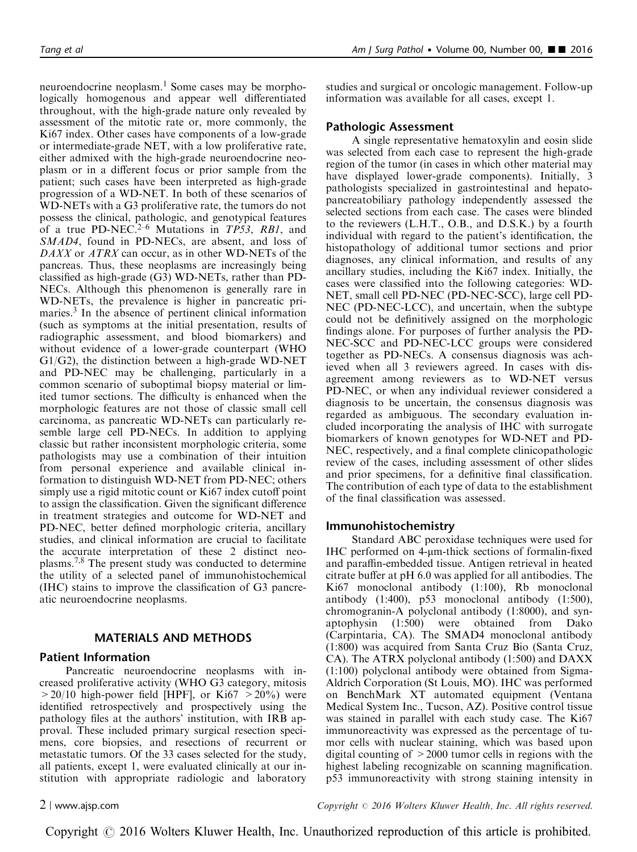neuroendocrine neoplasm.<sup>[1](#page-10-0)</sup> Some cases may be morphologically homogenous and appear well differentiated throughout, with the high-grade nature only revealed by assessment of the mitotic rate or, more commonly, the Ki67 index. Other cases have components of a low-grade or intermediate-grade NET, with a low proliferative rate, either admixed with the high-grade neuroendocrine neoplasm or in a different focus or prior sample from the patient; such cases have been interpreted as high-grade progression of a WD-NET. In both of these scenarios of WD-NETs with a G3 proliferative rate, the tumors do not possess the clinical, pathologic, and genotypical features of a true PD-NEC.<sup>[2–6](#page-10-0)</sup> Mutations in  $TP53$ , RB1, and SMAD4, found in PD-NECs, are absent, and loss of DAXX or ATRX can occur, as in other WD-NETs of the pancreas. Thus, these neoplasms are increasingly being classified as high-grade (G3) WD-NETs, rather than PD-NECs. Although this phenomenon is generally rare in WD-NETs, the prevalence is higher in pancreatic pri-maries.<sup>[3](#page-10-0)</sup> In the absence of pertinent clinical information (such as symptoms at the initial presentation, results of radiographic assessment, and blood biomarkers) and without evidence of a lower-grade counterpart (WHO G1/G2), the distinction between a high-grade WD-NET and PD-NEC may be challenging, particularly in a common scenario of suboptimal biopsy material or limited tumor sections. The difficulty is enhanced when the morphologic features are not those of classic small cell carcinoma, as pancreatic WD-NETs can particularly resemble large cell PD-NECs. In addition to applying classic but rather inconsistent morphologic criteria, some pathologists may use a combination of their intuition from personal experience and available clinical information to distinguish WD-NET from PD-NEC; others simply use a rigid mitotic count or Ki67 index cutoff point to assign the classification. Given the significant difference in treatment strategies and outcome for WD-NET and PD-NEC, better defined morphologic criteria, ancillary studies, and clinical information are crucial to facilitate the accurate interpretation of these 2 distinct neoplasms[.7,8](#page-10-0) The present study was conducted to determine the utility of a selected panel of immunohistochemical (IHC) stains to improve the classification of G3 pancreatic neuroendocrine neoplasms.

# MATERIALS AND METHODS

#### Patient Information

Pancreatic neuroendocrine neoplasms with increased proliferative activity (WHO G3 category, mitosis  $>20/10$  high-power field [HPF], or Ki67  $>20\%$ ) were identified retrospectively and prospectively using the pathology files at the authors' institution, with IRB approval. These included primary surgical resection specimens, core biopsies, and resections of recurrent or metastatic tumors. Of the 33 cases selected for the study, all patients, except 1, were evaluated clinically at our institution with appropriate radiologic and laboratory

Tang et al  $\blacksquare$  2016

studies and surgical or oncologic management. Follow-up information was available for all cases, except 1.

#### Pathologic Assessment

A single representative hematoxylin and eosin slide was selected from each case to represent the high-grade region of the tumor (in cases in which other material may have displayed lower-grade components). Initially, 3 pathologists specialized in gastrointestinal and hepatopancreatobiliary pathology independently assessed the selected sections from each case. The cases were blinded to the reviewers (L.H.T., O.B., and D.S.K.) by a fourth individual with regard to the patient's identification, the histopathology of additional tumor sections and prior diagnoses, any clinical information, and results of any ancillary studies, including the Ki67 index. Initially, the cases were classified into the following categories: WD-NET, small cell PD-NEC (PD-NEC-SCC), large cell PD-NEC (PD-NEC-LCC), and uncertain, when the subtype could not be definitively assigned on the morphologic findings alone. For purposes of further analysis the PD-NEC-SCC and PD-NEC-LCC groups were considered together as PD-NECs. A consensus diagnosis was achieved when all 3 reviewers agreed. In cases with disagreement among reviewers as to WD-NET versus PD-NEC, or when any individual reviewer considered a diagnosis to be uncertain, the consensus diagnosis was regarded as ambiguous. The secondary evaluation included incorporating the analysis of IHC with surrogate biomarkers of known genotypes for WD-NET and PD-NEC, respectively, and a final complete clinicopathologic review of the cases, including assessment of other slides and prior specimens, for a definitive final classification. The contribution of each type of data to the establishment of the final classification was assessed.

#### Immunohistochemistry

Standard ABC peroxidase techniques were used for  $IHC$  performed on 4- $µm$ -thick sections of formalin-fixed and paraffin-embedded tissue. Antigen retrieval in heated citrate buffer at pH 6.0 was applied for all antibodies. The Ki67 monoclonal antibody (1:100), Rb monoclonal antibody (1:400), p53 monoclonal antibody (1:500), chromogranin-A polyclonal antibody (1:8000), and synaptophysin (1:500) were obtained from Dako (Carpintaria, CA). The SMAD4 monoclonal antibody (1:800) was acquired from Santa Cruz Bio (Santa Cruz, CA). The ATRX polyclonal antibody (1:500) and DAXX (1:100) polyclonal antibody were obtained from Sigma-Aldrich Corporation (St Louis, MO). IHC was performed on BenchMark XT automated equipment (Ventana Medical System Inc., Tucson, AZ). Positive control tissue was stained in parallel with each study case. The Ki67 immunoreactivity was expressed as the percentage of tumor cells with nuclear staining, which was based upon digital counting of >2000 tumor cells in regions with the highest labeling recognizable on scanning magnification. p53 immunoreactivity with strong staining intensity in

2 <sup>|</sup> www.ajsp.com Copyright <sup>r</sup> 2016 Wolters Kluwer Health, Inc. All rights reserved.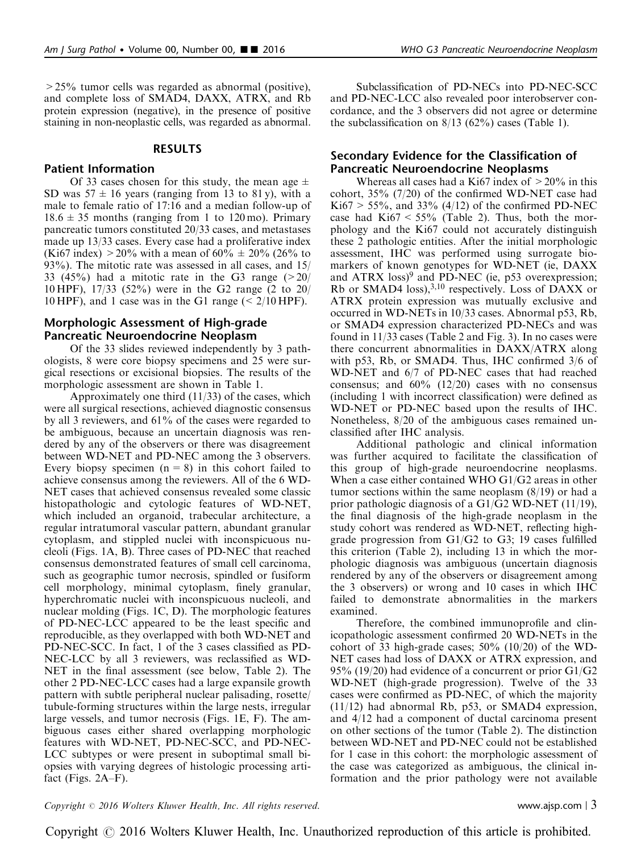>25% tumor cells was regarded as abnormal (positive), and complete loss of SMAD4, DAXX, ATRX, and Rb protein expression (negative), in the presence of positive staining in non-neoplastic cells, was regarded as abnormal.

#### RESULTS

### Patient Information

Of 33 cases chosen for this study, the mean age  $\pm$ SD was  $57 \pm 16$  years (ranging from 13 to 81y), with a male to female ratio of 17:16 and a median follow-up of  $18.6 \pm 35$  months (ranging from 1 to  $120 \text{ mo}$ ). Primary pancreatic tumors constituted 20/33 cases, and metastases made up 13/33 cases. Every case had a proliferative index (Ki67 index) > 20% with a mean of  $60\% \pm 20\%$  (26% to 93%). The mitotic rate was assessed in all cases, and 15/ 33 (45%) had a mitotic rate in the G3 range  $(20/$ 10 HPF), 17/33 (52%) were in the G2 range (2 to 20/ 10 HPF), and 1 case was in the G1 range  $\approx 2/10$  HPF).

### Morphologic Assessment of High-grade Pancreatic Neuroendocrine Neoplasm

Of the 33 slides reviewed independently by 3 pathologists, 8 were core biopsy specimens and 25 were surgical resections or excisional biopsies. The results of the morphologic assessment are shown in [Table 1](#page-3-0).

Approximately one third  $(11/33)$  of the cases, which were all surgical resections, achieved diagnostic consensus by all 3 reviewers, and 61% of the cases were regarded to be ambiguous, because an uncertain diagnosis was rendered by any of the observers or there was disagreement between WD-NET and PD-NEC among the 3 observers. Every biopsy specimen  $(n = 8)$  in this cohort failed to achieve consensus among the reviewers. All of the 6 WD-NET cases that achieved consensus revealed some classic histopathologic and cytologic features of WD-NET, which included an organoid, trabecular architecture, a regular intratumoral vascular pattern, abundant granular cytoplasm, and stippled nuclei with inconspicuous nucleoli [\(Figs. 1A, B\)](#page-4-0). Three cases of PD-NEC that reached consensus demonstrated features of small cell carcinoma, such as geographic tumor necrosis, spindled or fusiform cell morphology, minimal cytoplasm, finely granular, hyperchromatic nuclei with inconspicuous nucleoli, and nuclear molding [\(Figs. 1C, D](#page-4-0)). The morphologic features of PD-NEC-LCC appeared to be the least specific and reproducible, as they overlapped with both WD-NET and PD-NEC-SCC. In fact, 1 of the 3 cases classified as PD-NEC-LCC by all 3 reviewers, was reclassified as WD-NET in the final assessment (see below, [Table 2](#page-5-0)). The other 2 PD-NEC-LCC cases had a large expansile growth pattern with subtle peripheral nuclear palisading, rosette/ tubule-forming structures within the large nests, irregular large vessels, and tumor necrosis [\(Figs. 1E, F](#page-4-0)). The ambiguous cases either shared overlapping morphologic features with WD-NET, PD-NEC-SCC, and PD-NEC-LCC subtypes or were present in suboptimal small biopsies with varying degrees of histologic processing artifact [\(Figs. 2A–F\)](#page-6-0).

Subclassification of PD-NECs into PD-NEC-SCC and PD-NEC-LCC also revealed poor interobserver concordance, and the 3 observers did not agree or determine the subclassification on  $8/13$  (62%) cases ([Table 1](#page-3-0)).

## Secondary Evidence for the Classification of Pancreatic Neuroendocrine Neoplasms

Whereas all cases had a Ki67 index of  $>20\%$  in this cohort, 35% (7/20) of the confirmed WD-NET case had  $Ki67 > 55\%$ , and 33% (4/12) of the confirmed PD-NEC case had  $Ki67 < 55\%$  ([Table 2](#page-5-0)). Thus, both the morphology and the Ki67 could not accurately distinguish these 2 pathologic entities. After the initial morphologic assessment, IHC was performed using surrogate biomarkers of known genotypes for WD-NET (ie, DAXX and  $ATRX$  loss)<sup>[9](#page-10-0)</sup> and  $PD-NEC$  (ie, p53 overexpression; Rb or SMAD4 loss), $^{3,10}$  respectively. Loss of DAXX or ATRX protein expression was mutually exclusive and occurred in WD-NETs in 10/33 cases. Abnormal p53, Rb, or SMAD4 expression characterized PD-NECs and was found in 11/33 cases ([Table 2](#page-5-0) and [Fig. 3](#page-7-0)). In no cases were there concurrent abnormalities in DAXX/ATRX along with p53, Rb, or SMAD4. Thus, IHC confirmed 3/6 of WD-NET and 6/7 of PD-NEC cases that had reached consensus; and  $60\%$  (12/20) cases with no consensus (including 1 with incorrect classification) were defined as WD-NET or PD-NEC based upon the results of IHC. Nonetheless, 8/20 of the ambiguous cases remained unclassified after IHC analysis.

Additional pathologic and clinical information was further acquired to facilitate the classification of this group of high-grade neuroendocrine neoplasms. When a case either contained WHO G1/G2 areas in other tumor sections within the same neoplasm  $(8/19)$  or had a prior pathologic diagnosis of a G1/G2 WD-NET (11/19), the final diagnosis of the high-grade neoplasm in the study cohort was rendered as WD-NET, reflecting highgrade progression from G1/G2 to G3; 19 cases fulfilled this criterion ([Table 2](#page-5-0)), including 13 in which the morphologic diagnosis was ambiguous (uncertain diagnosis rendered by any of the observers or disagreement among the 3 observers) or wrong and 10 cases in which IHC failed to demonstrate abnormalities in the markers examined.

Therefore, the combined immunoprofile and clinicopathologic assessment confirmed 20 WD-NETs in the cohort of 33 high-grade cases;  $50\%$  (10/20) of the WD-NET cases had loss of DAXX or ATRX expression, and 95% (19/20) had evidence of a concurrent or prior G1/G2 WD-NET (high-grade progression). Twelve of the 33 cases were confirmed as PD-NEC, of which the majority (11/12) had abnormal Rb, p53, or SMAD4 expression, and 4/12 had a component of ductal carcinoma present on other sections of the tumor ([Table 2](#page-5-0)). The distinction between WD-NET and PD-NEC could not be established for 1 case in this cohort: the morphologic assessment of the case was categorized as ambiguous, the clinical information and the prior pathology were not available

#### $Copyright © 2016 Wolters Kluwer Health, Inc. All rights reserved.$  exerved. www.ajsp.com | 3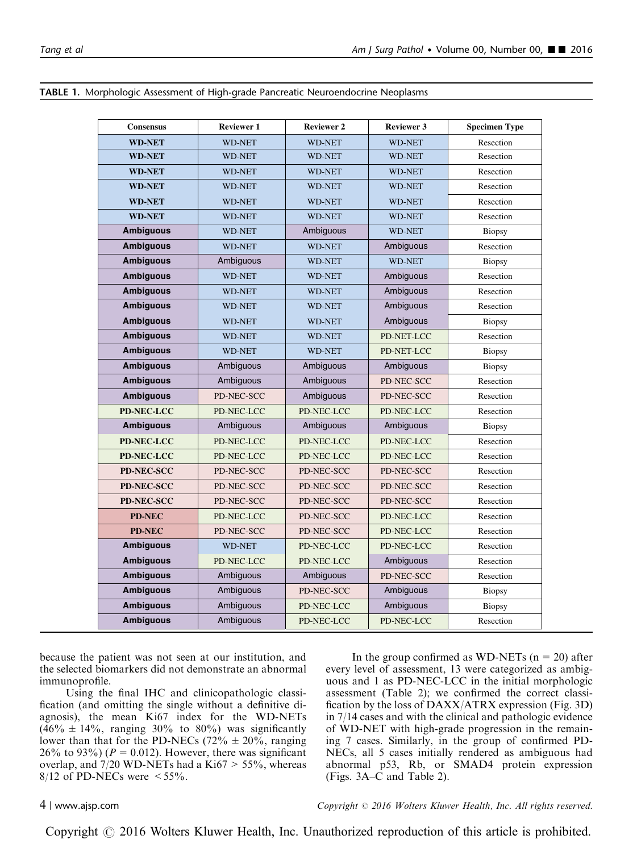| <b>Consensus</b>  | <b>Reviewer 1</b> | <b>Reviewer 2</b> | <b>Reviewer 3</b>           | <b>Specimen Type</b> |  |
|-------------------|-------------------|-------------------|-----------------------------|----------------------|--|
| <b>WD-NET</b>     | <b>WD-NET</b>     | <b>WD-NET</b>     | <b>WD-NET</b>               | Resection            |  |
| <b>WD-NET</b>     | <b>WD-NET</b>     | <b>WD-NET</b>     | <b>WD-NET</b><br>Resection  |                      |  |
| <b>WD-NET</b>     | <b>WD-NET</b>     | <b>WD-NET</b>     | <b>WD-NET</b>               | Resection            |  |
| <b>WD-NET</b>     | <b>WD-NET</b>     | <b>WD-NET</b>     | <b>WD-NET</b>               | Resection            |  |
| <b>WD-NET</b>     | <b>WD-NET</b>     | <b>WD-NET</b>     | <b>WD-NET</b>               | Resection            |  |
| <b>WD-NET</b>     | <b>WD-NET</b>     | <b>WD-NET</b>     | <b>WD-NET</b>               | Resection            |  |
| <b>Ambiguous</b>  | <b>WD-NET</b>     | Ambiguous         | <b>WD-NET</b>               | <b>Biopsy</b>        |  |
| <b>Ambiguous</b>  | <b>WD-NET</b>     | <b>WD-NET</b>     | Ambiguous                   | Resection            |  |
| <b>Ambiguous</b>  | Ambiguous         | <b>WD-NET</b>     | <b>WD-NET</b>               | Biopsy               |  |
| <b>Ambiguous</b>  | <b>WD-NET</b>     | <b>WD-NET</b>     | Ambiguous                   | Resection            |  |
| <b>Ambiguous</b>  | <b>WD-NET</b>     | <b>WD-NET</b>     | Ambiguous                   | Resection            |  |
| <b>Ambiguous</b>  | WD-NET            | <b>WD-NET</b>     | Ambiguous<br>Resection      |                      |  |
| <b>Ambiguous</b>  | <b>WD-NET</b>     | <b>WD-NET</b>     | Ambiguous                   | Biopsy               |  |
| <b>Ambiguous</b>  | <b>WD-NET</b>     | <b>WD-NET</b>     | PD-NET-LCC                  | Resection            |  |
| <b>Ambiguous</b>  | <b>WD-NET</b>     | <b>WD-NET</b>     | PD-NET-LCC<br><b>Biopsy</b> |                      |  |
| <b>Ambiguous</b>  | Ambiguous         | Ambiguous         | Ambiguous                   | Biopsy               |  |
| <b>Ambiguous</b>  | Ambiguous         | Ambiguous         | PD-NEC-SCC                  | Resection            |  |
| <b>Ambiguous</b>  | PD-NEC-SCC        | Ambiguous         | PD-NEC-SCC                  | Resection            |  |
| <b>PD-NEC-LCC</b> | PD-NEC-LCC        | PD-NEC-LCC        | PD-NEC-LCC                  | Resection            |  |
| <b>Ambiguous</b>  | Ambiguous         | Ambiguous         | Ambiguous                   | <b>Biopsy</b>        |  |
| <b>PD-NEC-LCC</b> | PD-NEC-LCC        | PD-NEC-LCC        | PD-NEC-LCC<br>Resection     |                      |  |
| <b>PD-NEC-LCC</b> | PD-NEC-LCC        | PD-NEC-LCC        | Resection<br>PD-NEC-LCC     |                      |  |
| <b>PD-NEC-SCC</b> | PD-NEC-SCC        | PD-NEC-SCC        | PD-NEC-SCC<br>Resection     |                      |  |
| PD-NEC-SCC        | PD-NEC-SCC        | PD-NEC-SCC        | PD-NEC-SCC                  | Resection            |  |
| <b>PD-NEC-SCC</b> | PD-NEC-SCC        | PD-NEC-SCC        | PD-NEC-SCC                  | Resection            |  |
| <b>PD-NEC</b>     | PD-NEC-LCC        | PD-NEC-SCC        | PD-NEC-LCC                  | Resection            |  |
| <b>PD-NEC</b>     | PD-NEC-SCC        | PD-NEC-SCC        | PD-NEC-LCC                  | Resection            |  |
| <b>Ambiguous</b>  | <b>WD-NET</b>     | PD-NEC-LCC        | PD-NEC-LCC<br>Resection     |                      |  |
| <b>Ambiguous</b>  | PD-NEC-LCC        | PD-NEC-LCC        | Ambiguous<br>Resection      |                      |  |
| <b>Ambiguous</b>  | Ambiguous         | Ambiguous         | PD-NEC-SCC<br>Resection     |                      |  |
| <b>Ambiguous</b>  | Ambiguous         | PD-NEC-SCC        | Ambiguous<br><b>Biopsy</b>  |                      |  |
| <b>Ambiguous</b>  | Ambiguous         | PD-NEC-LCC        | Ambiguous<br><b>Biopsy</b>  |                      |  |
| <b>Ambiguous</b>  | Ambiguous         | PD-NEC-LCC        | PD-NEC-LCC<br>Resection     |                      |  |

#### <span id="page-3-0"></span>TABLE 1. Morphologic Assessment of High-grade Pancreatic Neuroendocrine Neoplasms

because the patient was not seen at our institution, and the selected biomarkers did not demonstrate an abnormal immunoprofile.

Using the final IHC and clinicopathologic classification (and omitting the single without a definitive diagnosis), the mean Ki67 index for the WD-NETs  $(46\% \pm 14\%,$  ranging 30% to 80%) was significantly lower than that for the PD-NECs (72%  $\pm$  20%, ranging 26% to 93%) ( $P = 0.012$ ). However, there was significant overlap, and  $7/20$  WD-NETs had a Ki $67 > 55\%$ , whereas  $8/12$  of PD-NECs were  $\leq 55\%$ .

In the group confirmed as WD-NETs  $(n = 20)$  after every level of assessment, 13 were categorized as ambiguous and 1 as PD-NEC-LCC in the initial morphologic assessment [\(Table 2\)](#page-5-0); we confirmed the correct classification by the loss of DAXX/ATRX expression ([Fig. 3D](#page-7-0)) in 7/14 cases and with the clinical and pathologic evidence of WD-NET with high-grade progression in the remaining 7 cases. Similarly, in the group of confirmed PD-NECs, all 5 cases initially rendered as ambiguous had abnormal p53, Rb, or SMAD4 protein expression (Figs.  $3A-\overline{C}$  and [Table 2\)](#page-5-0).

4 <sup>|</sup> www.ajsp.com Copyright <sup>r</sup> 2016 Wolters Kluwer Health, Inc. All rights reserved.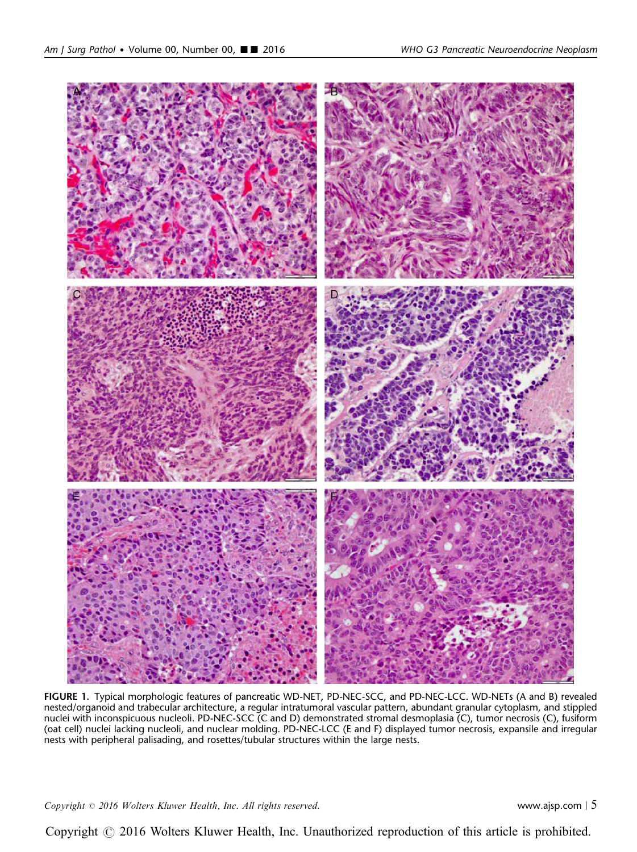<span id="page-4-0"></span>

FIGURE 1. Typical morphologic features of pancreatic WD-NET, PD-NEC-SCC, and PD-NEC-LCC. WD-NETs (A and B) revealed nested/organoid and trabecular architecture, a regular intratumoral vascular pattern, abundant granular cytoplasm, and stippled nuclei with inconspicuous nucleoli. PD-NEC-SCC (C and D) demonstrated stromal desmoplasia (C), tumor necrosis (C), fusiform (oat cell) nuclei lacking nucleoli, and nuclear molding. PD-NEC-LCC (E and F) displayed tumor necrosis, expansile and irregular nests with peripheral palisading, and rosettes/tubular structures within the large nests.

 $Copyright © 2016 Wolters Kluwer Health, Inc. All rights reserved.$  www.ajsp.com | 5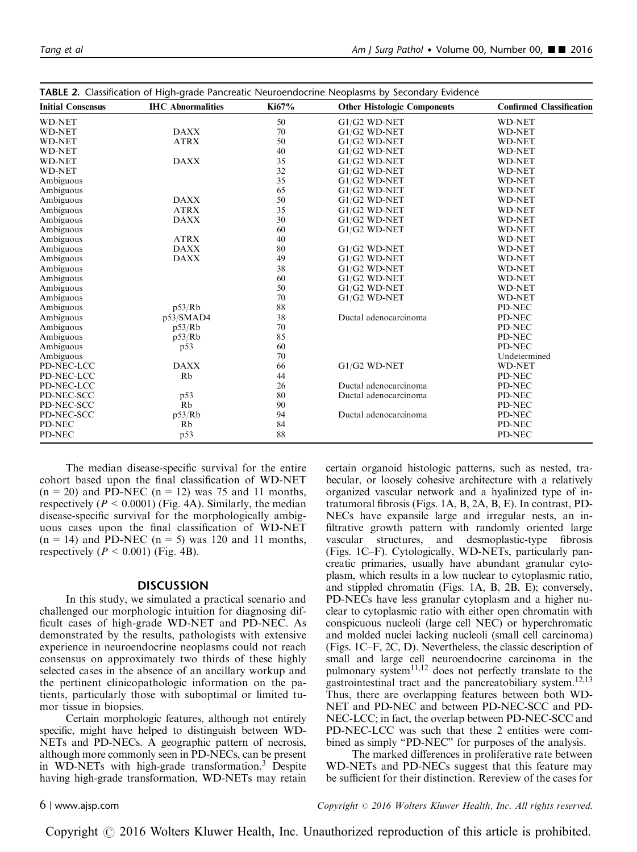| <b>WD-NET</b><br>50<br>G1/G2 WD-NET<br><b>WD-NET</b><br><b>DAXX</b><br>70<br><b>WD-NET</b><br>G1/G2 WD-NET<br><b>WD-NET</b><br><b>ATRX</b><br>50<br><b>WD-NET</b><br>$G1/G2$ WD-NET<br><b>WD-NET</b><br>40<br>$G1/G2$ WD-NET<br><b>WD-NET</b><br><b>WD-NET</b><br><b>DAXX</b><br>35<br><b>WD-NET</b><br>$G1/G2$ WD-NET<br><b>WD-NET</b><br>32<br>G1/G2 WD-NET<br><b>WD-NET</b><br>WD-NET<br>35<br><b>WD-NET</b><br>Ambiguous<br>$G1/G2$ WD-NET<br>65<br>G1/G2 WD-NET<br><b>WD-NET</b><br>Ambiguous<br>50<br><b>DAXX</b><br>Ambiguous<br>$G1/G2$ WD-NET<br><b>WD-NET</b><br>35<br><b>ATRX</b><br>G1/G2 WD-NET<br><b>WD-NET</b><br>Ambiguous<br>30<br>Ambiguous<br><b>DAXX</b><br>$G1/G2$ WD-NET<br><b>WD-NET</b><br>60<br>Ambiguous<br>G1/G2 WD-NET<br><b>WD-NET</b><br><b>ATRX</b><br>40<br>Ambiguous<br><b>WD-NET</b><br>Ambiguous<br><b>DAXX</b><br>80<br>G1/G2 WD-NET<br><b>WD-NET</b><br>Ambiguous<br><b>DAXX</b><br>49<br>$G1/G2$ WD-NET<br><b>WD-NET</b><br>38<br>Ambiguous<br>$G1/G2$ WD-NET<br><b>WD-NET</b><br>60<br>Ambiguous<br>G1/G2 WD-NET<br><b>WD-NET</b><br>50<br>$G1/G2$ WD-NET<br><b>WD-NET</b><br>Ambiguous<br>70<br>$G1/G2$ WD-NET<br><b>WD-NET</b><br>Ambiguous<br>88<br>p53/Rb<br>PD-NEC<br>Ambiguous<br>38<br>Ductal adenocarcinoma<br>Ambiguous<br>p53/SMAD4<br>PD-NEC<br>70<br>PD-NEC<br>Ambiguous<br>p53/Rb<br>85<br>PD-NEC<br>Ambiguous<br>p53/Rb<br>60<br>PD-NEC<br>Ambiguous<br>p53<br>Ambiguous<br>70<br>Undetermined<br><b>DAXX</b><br>G1/G2 WD-NET<br>66<br>PD-NEC-LCC<br><b>WD-NET</b><br>Rb<br>44<br>PD-NEC-LCC<br>PD-NEC<br>Ductal adenocarcinoma<br>PD-NEC-LCC<br>26<br>PD-NEC<br>80<br>PD-NEC-SCC<br>p53<br>Ductal adenocarcinoma<br>PD-NEC<br>Rb<br>90<br>PD-NEC-SCC<br>PD-NEC<br>p53/Rb<br>94<br>Ductal adenocarcinoma<br>PD-NEC-SCC<br>PD-NEC<br>84<br>PD-NEC<br>Rb<br>PD-NEC | <b>Initial Consensus</b> | <b>IHC</b> Abnormalities | Ki67% | <b>Other Histologic Components</b> | <b>Confirmed Classification</b> |  |
|-----------------------------------------------------------------------------------------------------------------------------------------------------------------------------------------------------------------------------------------------------------------------------------------------------------------------------------------------------------------------------------------------------------------------------------------------------------------------------------------------------------------------------------------------------------------------------------------------------------------------------------------------------------------------------------------------------------------------------------------------------------------------------------------------------------------------------------------------------------------------------------------------------------------------------------------------------------------------------------------------------------------------------------------------------------------------------------------------------------------------------------------------------------------------------------------------------------------------------------------------------------------------------------------------------------------------------------------------------------------------------------------------------------------------------------------------------------------------------------------------------------------------------------------------------------------------------------------------------------------------------------------------------------------------------------------------------------------------------------------------------------------------------------------------------------------------|--------------------------|--------------------------|-------|------------------------------------|---------------------------------|--|
|                                                                                                                                                                                                                                                                                                                                                                                                                                                                                                                                                                                                                                                                                                                                                                                                                                                                                                                                                                                                                                                                                                                                                                                                                                                                                                                                                                                                                                                                                                                                                                                                                                                                                                                                                                                                                       |                          |                          |       |                                    |                                 |  |
|                                                                                                                                                                                                                                                                                                                                                                                                                                                                                                                                                                                                                                                                                                                                                                                                                                                                                                                                                                                                                                                                                                                                                                                                                                                                                                                                                                                                                                                                                                                                                                                                                                                                                                                                                                                                                       |                          |                          |       |                                    |                                 |  |
|                                                                                                                                                                                                                                                                                                                                                                                                                                                                                                                                                                                                                                                                                                                                                                                                                                                                                                                                                                                                                                                                                                                                                                                                                                                                                                                                                                                                                                                                                                                                                                                                                                                                                                                                                                                                                       |                          |                          |       |                                    |                                 |  |
|                                                                                                                                                                                                                                                                                                                                                                                                                                                                                                                                                                                                                                                                                                                                                                                                                                                                                                                                                                                                                                                                                                                                                                                                                                                                                                                                                                                                                                                                                                                                                                                                                                                                                                                                                                                                                       |                          |                          |       |                                    |                                 |  |
|                                                                                                                                                                                                                                                                                                                                                                                                                                                                                                                                                                                                                                                                                                                                                                                                                                                                                                                                                                                                                                                                                                                                                                                                                                                                                                                                                                                                                                                                                                                                                                                                                                                                                                                                                                                                                       |                          |                          |       |                                    |                                 |  |
|                                                                                                                                                                                                                                                                                                                                                                                                                                                                                                                                                                                                                                                                                                                                                                                                                                                                                                                                                                                                                                                                                                                                                                                                                                                                                                                                                                                                                                                                                                                                                                                                                                                                                                                                                                                                                       |                          |                          |       |                                    |                                 |  |
|                                                                                                                                                                                                                                                                                                                                                                                                                                                                                                                                                                                                                                                                                                                                                                                                                                                                                                                                                                                                                                                                                                                                                                                                                                                                                                                                                                                                                                                                                                                                                                                                                                                                                                                                                                                                                       |                          |                          |       |                                    |                                 |  |
|                                                                                                                                                                                                                                                                                                                                                                                                                                                                                                                                                                                                                                                                                                                                                                                                                                                                                                                                                                                                                                                                                                                                                                                                                                                                                                                                                                                                                                                                                                                                                                                                                                                                                                                                                                                                                       |                          |                          |       |                                    |                                 |  |
|                                                                                                                                                                                                                                                                                                                                                                                                                                                                                                                                                                                                                                                                                                                                                                                                                                                                                                                                                                                                                                                                                                                                                                                                                                                                                                                                                                                                                                                                                                                                                                                                                                                                                                                                                                                                                       |                          |                          |       |                                    |                                 |  |
|                                                                                                                                                                                                                                                                                                                                                                                                                                                                                                                                                                                                                                                                                                                                                                                                                                                                                                                                                                                                                                                                                                                                                                                                                                                                                                                                                                                                                                                                                                                                                                                                                                                                                                                                                                                                                       |                          |                          |       |                                    |                                 |  |
|                                                                                                                                                                                                                                                                                                                                                                                                                                                                                                                                                                                                                                                                                                                                                                                                                                                                                                                                                                                                                                                                                                                                                                                                                                                                                                                                                                                                                                                                                                                                                                                                                                                                                                                                                                                                                       |                          |                          |       |                                    |                                 |  |
|                                                                                                                                                                                                                                                                                                                                                                                                                                                                                                                                                                                                                                                                                                                                                                                                                                                                                                                                                                                                                                                                                                                                                                                                                                                                                                                                                                                                                                                                                                                                                                                                                                                                                                                                                                                                                       |                          |                          |       |                                    |                                 |  |
|                                                                                                                                                                                                                                                                                                                                                                                                                                                                                                                                                                                                                                                                                                                                                                                                                                                                                                                                                                                                                                                                                                                                                                                                                                                                                                                                                                                                                                                                                                                                                                                                                                                                                                                                                                                                                       |                          |                          |       |                                    |                                 |  |
|                                                                                                                                                                                                                                                                                                                                                                                                                                                                                                                                                                                                                                                                                                                                                                                                                                                                                                                                                                                                                                                                                                                                                                                                                                                                                                                                                                                                                                                                                                                                                                                                                                                                                                                                                                                                                       |                          |                          |       |                                    |                                 |  |
|                                                                                                                                                                                                                                                                                                                                                                                                                                                                                                                                                                                                                                                                                                                                                                                                                                                                                                                                                                                                                                                                                                                                                                                                                                                                                                                                                                                                                                                                                                                                                                                                                                                                                                                                                                                                                       |                          |                          |       |                                    |                                 |  |
|                                                                                                                                                                                                                                                                                                                                                                                                                                                                                                                                                                                                                                                                                                                                                                                                                                                                                                                                                                                                                                                                                                                                                                                                                                                                                                                                                                                                                                                                                                                                                                                                                                                                                                                                                                                                                       |                          |                          |       |                                    |                                 |  |
|                                                                                                                                                                                                                                                                                                                                                                                                                                                                                                                                                                                                                                                                                                                                                                                                                                                                                                                                                                                                                                                                                                                                                                                                                                                                                                                                                                                                                                                                                                                                                                                                                                                                                                                                                                                                                       |                          |                          |       |                                    |                                 |  |
|                                                                                                                                                                                                                                                                                                                                                                                                                                                                                                                                                                                                                                                                                                                                                                                                                                                                                                                                                                                                                                                                                                                                                                                                                                                                                                                                                                                                                                                                                                                                                                                                                                                                                                                                                                                                                       |                          |                          |       |                                    |                                 |  |
|                                                                                                                                                                                                                                                                                                                                                                                                                                                                                                                                                                                                                                                                                                                                                                                                                                                                                                                                                                                                                                                                                                                                                                                                                                                                                                                                                                                                                                                                                                                                                                                                                                                                                                                                                                                                                       |                          |                          |       |                                    |                                 |  |
|                                                                                                                                                                                                                                                                                                                                                                                                                                                                                                                                                                                                                                                                                                                                                                                                                                                                                                                                                                                                                                                                                                                                                                                                                                                                                                                                                                                                                                                                                                                                                                                                                                                                                                                                                                                                                       |                          |                          |       |                                    |                                 |  |
|                                                                                                                                                                                                                                                                                                                                                                                                                                                                                                                                                                                                                                                                                                                                                                                                                                                                                                                                                                                                                                                                                                                                                                                                                                                                                                                                                                                                                                                                                                                                                                                                                                                                                                                                                                                                                       |                          |                          |       |                                    |                                 |  |
|                                                                                                                                                                                                                                                                                                                                                                                                                                                                                                                                                                                                                                                                                                                                                                                                                                                                                                                                                                                                                                                                                                                                                                                                                                                                                                                                                                                                                                                                                                                                                                                                                                                                                                                                                                                                                       |                          |                          |       |                                    |                                 |  |
|                                                                                                                                                                                                                                                                                                                                                                                                                                                                                                                                                                                                                                                                                                                                                                                                                                                                                                                                                                                                                                                                                                                                                                                                                                                                                                                                                                                                                                                                                                                                                                                                                                                                                                                                                                                                                       |                          |                          |       |                                    |                                 |  |
|                                                                                                                                                                                                                                                                                                                                                                                                                                                                                                                                                                                                                                                                                                                                                                                                                                                                                                                                                                                                                                                                                                                                                                                                                                                                                                                                                                                                                                                                                                                                                                                                                                                                                                                                                                                                                       |                          |                          |       |                                    |                                 |  |
|                                                                                                                                                                                                                                                                                                                                                                                                                                                                                                                                                                                                                                                                                                                                                                                                                                                                                                                                                                                                                                                                                                                                                                                                                                                                                                                                                                                                                                                                                                                                                                                                                                                                                                                                                                                                                       |                          |                          |       |                                    |                                 |  |
|                                                                                                                                                                                                                                                                                                                                                                                                                                                                                                                                                                                                                                                                                                                                                                                                                                                                                                                                                                                                                                                                                                                                                                                                                                                                                                                                                                                                                                                                                                                                                                                                                                                                                                                                                                                                                       |                          |                          |       |                                    |                                 |  |
|                                                                                                                                                                                                                                                                                                                                                                                                                                                                                                                                                                                                                                                                                                                                                                                                                                                                                                                                                                                                                                                                                                                                                                                                                                                                                                                                                                                                                                                                                                                                                                                                                                                                                                                                                                                                                       |                          |                          |       |                                    |                                 |  |
|                                                                                                                                                                                                                                                                                                                                                                                                                                                                                                                                                                                                                                                                                                                                                                                                                                                                                                                                                                                                                                                                                                                                                                                                                                                                                                                                                                                                                                                                                                                                                                                                                                                                                                                                                                                                                       |                          |                          |       |                                    |                                 |  |
|                                                                                                                                                                                                                                                                                                                                                                                                                                                                                                                                                                                                                                                                                                                                                                                                                                                                                                                                                                                                                                                                                                                                                                                                                                                                                                                                                                                                                                                                                                                                                                                                                                                                                                                                                                                                                       |                          |                          |       |                                    |                                 |  |
|                                                                                                                                                                                                                                                                                                                                                                                                                                                                                                                                                                                                                                                                                                                                                                                                                                                                                                                                                                                                                                                                                                                                                                                                                                                                                                                                                                                                                                                                                                                                                                                                                                                                                                                                                                                                                       |                          |                          |       |                                    |                                 |  |
|                                                                                                                                                                                                                                                                                                                                                                                                                                                                                                                                                                                                                                                                                                                                                                                                                                                                                                                                                                                                                                                                                                                                                                                                                                                                                                                                                                                                                                                                                                                                                                                                                                                                                                                                                                                                                       |                          |                          |       |                                    |                                 |  |
|                                                                                                                                                                                                                                                                                                                                                                                                                                                                                                                                                                                                                                                                                                                                                                                                                                                                                                                                                                                                                                                                                                                                                                                                                                                                                                                                                                                                                                                                                                                                                                                                                                                                                                                                                                                                                       |                          |                          |       |                                    |                                 |  |
|                                                                                                                                                                                                                                                                                                                                                                                                                                                                                                                                                                                                                                                                                                                                                                                                                                                                                                                                                                                                                                                                                                                                                                                                                                                                                                                                                                                                                                                                                                                                                                                                                                                                                                                                                                                                                       | PD-NEC                   | p53                      | 88    |                                    | PD-NEC                          |  |

<span id="page-5-0"></span>

|  |  |  | TABLE 2. Classification of High-grade Pancreatic Neuroendocrine Neoplasms by Secondary Evidence |  |  |  |  |
|--|--|--|-------------------------------------------------------------------------------------------------|--|--|--|--|
|--|--|--|-------------------------------------------------------------------------------------------------|--|--|--|--|

The median disease-specific survival for the entire cohort based upon the final classification of WD-NET  $(n = 20)$  and PD-NEC  $(n = 12)$  was 75 and 11 months, respectively ( $P \le 0.0001$ ) ([Fig. 4A\)](#page-8-0). Similarly, the median disease-specific survival for the morphologically ambiguous cases upon the final classification of WD-NET  $(n = 14)$  and PD-NEC  $(n = 5)$  was 120 and 11 months, respectively ( $P < 0.001$ ) [\(Fig. 4B](#page-8-0)).

### **DISCUSSION**

In this study, we simulated a practical scenario and challenged our morphologic intuition for diagnosing difficult cases of high-grade WD-NET and PD-NEC. As demonstrated by the results, pathologists with extensive experience in neuroendocrine neoplasms could not reach consensus on approximately two thirds of these highly selected cases in the absence of an ancillary workup and the pertinent clinicopathologic information on the patients, particularly those with suboptimal or limited tumor tissue in biopsies.

Certain morphologic features, although not entirely specific, might have helped to distinguish between WD-NETs and PD-NECs. A geographic pattern of necrosis, although more commonly seen in PD-NECs, can be present in WD-NETs with high-grade transformation.[3](#page-10-0) Despite having high-grade transformation, WD-NETs may retain certain organoid histologic patterns, such as nested, trabecular, or loosely cohesive architecture with a relatively organized vascular network and a hyalinized type of intratumoral fibrosis [\(Figs. 1A, B, 2A, B, E\)](#page-4-0). In contrast, PD-NECs have expansile large and irregular nests, an infiltrative growth pattern with randomly oriented large vascular structures, and desmoplastic-type fibrosis ([Figs. 1C–F](#page-4-0)). Cytologically, WD-NETs, particularly pancreatic primaries, usually have abundant granular cytoplasm, which results in a low nuclear to cytoplasmic ratio, and stippled chromatin [\(Figs. 1A, B, 2B, E\)](#page-4-0); conversely, PD-NECs have less granular cytoplasm and a higher nuclear to cytoplasmic ratio with either open chromatin with conspicuous nucleoli (large cell NEC) or hyperchromatic and molded nuclei lacking nucleoli (small cell carcinoma) ([Figs. 1C–F,](#page-4-0) [2C, D\)](#page-6-0). Nevertheless, the classic description of small and large cell neuroendocrine carcinoma in the pulmonary system<sup>11,12</sup> does not perfectly translate to the gastrointestinal tract and the pancreatobiliary system.<sup>12,13</sup> Thus, there are overlapping features between both WD-NET and PD-NEC and between PD-NEC-SCC and PD-NEC-LCC; in fact, the overlap between PD-NEC-SCC and PD-NEC-LCC was such that these 2 entities were combined as simply "PD-NEC" for purposes of the analysis.

The marked differences in proliferative rate between WD-NETs and PD-NECs suggest that this feature may be sufficient for their distinction. Rereview of the cases for

6 <sup>|</sup> www.ajsp.com Copyright <sup>r</sup> 2016 Wolters Kluwer Health, Inc. All rights reserved.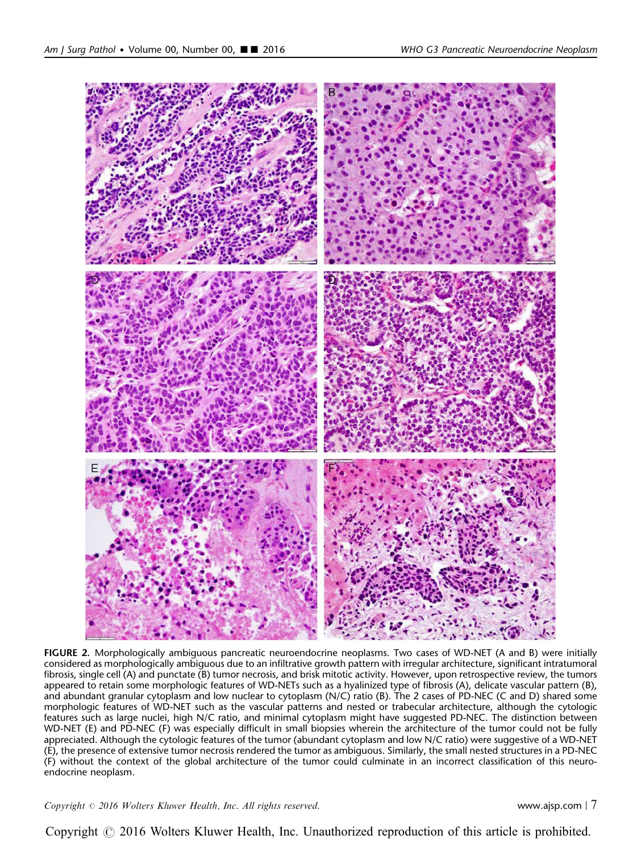<span id="page-6-0"></span>

FIGURE 2. Morphologically ambiguous pancreatic neuroendocrine neoplasms. Two cases of WD-NET (A and B) were initially considered as morphologically ambiguous due to an infiltrative growth pattern with irregular architecture, significant intratumoral fibrosis, single cell (A) and punctate (B) tumor necrosis, and brisk mitotic activity. However, upon retrospective review, the tumors appeared to retain some morphologic features of WD-NETs such as a hyalinized type of fibrosis (A), delicate vascular pattern (B), and abundant granular cytoplasm and low nuclear to cytoplasm (N/C) ratio (B). The 2 cases of PD-NEC (C and D) shared some morphologic features of WD-NET such as the vascular patterns and nested or trabecular architecture, although the cytologic features such as large nuclei, high N/C ratio, and minimal cytoplasm might have suggested PD-NEC. The distinction between WD-NET (E) and PD-NEC (F) was especially difficult in small biopsies wherein the architecture of the tumor could not be fully appreciated. Although the cytologic features of the tumor (abundant cytoplasm and low N/C ratio) were suggestive of a WD-NET (E), the presence of extensive tumor necrosis rendered the tumor as ambiguous. Similarly, the small nested structures in a PD-NEC (F) without the context of the global architecture of the tumor could culminate in an incorrect classification of this neuroendocrine neoplasm.

 $Copyright © 2016 Wolters Kluwer Health, Inc. All rights reserved.$  external to the contract of the www.ajsp.com | 7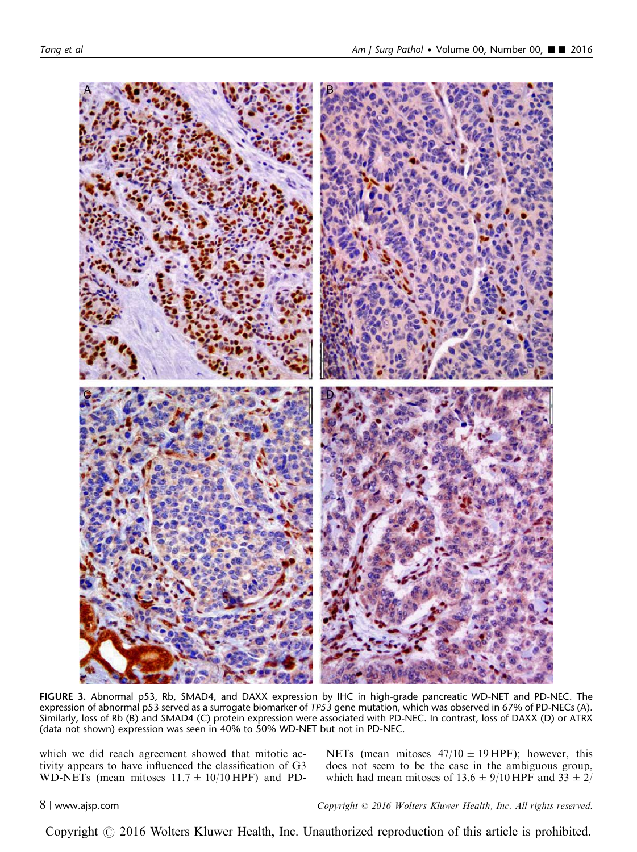<span id="page-7-0"></span>

FIGURE 3. Abnormal p53, Rb, SMAD4, and DAXX expression by IHC in high-grade pancreatic WD-NET and PD-NEC. The expression of abnormal p53 served as a surrogate biomarker of TP53 gene mutation, which was observed in 67% of PD-NECs (A). Similarly, loss of Rb (B) and SMAD4 (C) protein expression were associated with PD-NEC. In contrast, loss of DAXX (D) or ATRX (data not shown) expression was seen in 40% to 50% WD-NET but not in PD-NEC.

which we did reach agreement showed that mitotic activity appears to have influenced the classification of G3 WD-NETs (mean mitoses  $11.7 \pm 10/10$  HPF) and PD- NETs (mean mitoses  $47/10 \pm 19$  HPF); however, this does not seem to be the case in the ambiguous group, which had mean mitoses of  $13.6 \pm 9/10$  HPF and  $33 \pm 2/$ 

8 <sup>|</sup> www.ajsp.com Copyright <sup>r</sup> 2016 Wolters Kluwer Health, Inc. All rights reserved.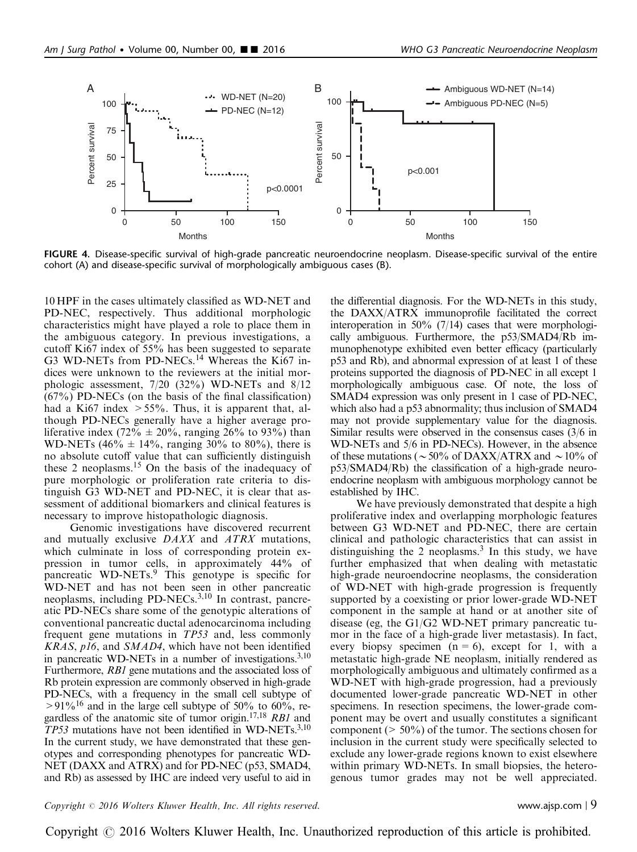<span id="page-8-0"></span>

FIGURE 4. Disease-specific survival of high-grade pancreatic neuroendocrine neoplasm. Disease-specific survival of the entire cohort (A) and disease-specific survival of morphologically ambiguous cases (B).

10 HPF in the cases ultimately classified as WD-NET and PD-NEC, respectively. Thus additional morphologic characteristics might have played a role to place them in the ambiguous category. In previous investigations, a cutoff Ki67 index of 55% has been suggested to separate G3 WD-NETs from PD-NECs.<sup>[14](#page-10-0)</sup> Whereas the Ki67 indices were unknown to the reviewers at the initial morphologic assessment, 7/20 (32%) WD-NETs and 8/12 (67%) PD-NECs (on the basis of the final classification) had a Ki67 index  $> 55\%$ . Thus, it is apparent that, although PD-NECs generally have a higher average proliferative index (72%  $\pm$  20%, ranging 26% to 93%) than WD-NETs (46%  $\pm$  14%, ranging 30% to 80%), there is no absolute cutoff value that can sufficiently distinguish these 2 neoplasms.<sup>15</sup> On the basis of the inadequacy of pure morphologic or proliferation rate criteria to distinguish G3 WD-NET and PD-NEC, it is clear that assessment of additional biomarkers and clinical features is necessary to improve histopathologic diagnosis.

Genomic investigations have discovered recurrent and mutually exclusive DAXX and ATRX mutations, which culminate in loss of corresponding protein expression in tumor cells, in approximately 44% of pancreatic WD-NETs.[9](#page-10-0) This genotype is specific for WD-NET and has not been seen in other pancreatic neoplasms, including PD-NECs.[3,10](#page-10-0) In contrast, pancreatic PD-NECs share some of the genotypic alterations of conventional pancreatic ductal adenocarcinoma including frequent gene mutations in TP53 and, less commonly KRAS, p16, and SMAD4, which have not been identified in pancreatic WD-NETs in a number of investigations. $3,10$ Furthermore, RB1 gene mutations and the associated loss of Rb protein expression are commonly observed in high-grade PD-NECs, with a frequency in the small cell subtype of  $>91\%$ <sup>16</sup> and in the large cell subtype of 50% to 60%, regardless of the anatomic site of tumor origin.<sup>17,18</sup> RB1 and TP53 mutations have not been identified in WD-NETs.<sup>3,10</sup> In the current study, we have demonstrated that these genotypes and corresponding phenotypes for pancreatic WD-NET (DAXX and ATRX) and for PD-NEC (p53, SMAD4, and Rb) as assessed by IHC are indeed very useful to aid in

the differential diagnosis. For the WD-NETs in this study, the DAXX/ATRX immunoprofile facilitated the correct interoperation in 50% (7/14) cases that were morphologically ambiguous. Furthermore, the p53/SMAD4/Rb immunophenotype exhibited even better efficacy (particularly p53 and Rb), and abnormal expression of at least 1 of these proteins supported the diagnosis of PD-NEC in all except 1 morphologically ambiguous case. Of note, the loss of SMAD4 expression was only present in 1 case of PD-NEC, which also had a p53 abnormality; thus inclusion of SMAD4 may not provide supplementary value for the diagnosis. Similar results were observed in the consensus cases (3/6 in WD-NETs and 5/6 in PD-NECs). However, in the absence of these mutations ( $\sim$  50% of DAXX/ATRX and  $\sim$  10% of p53/SMAD4/Rb) the classification of a high-grade neuroendocrine neoplasm with ambiguous morphology cannot be established by IHC.

We have previously demonstrated that despite a high proliferative index and overlapping morphologic features between G3 WD-NET and PD-NEC, there are certain clinical and pathologic characteristics that can assist in distinguishing the 2 neoplasms. $3$  In this study, we have further emphasized that when dealing with metastatic high-grade neuroendocrine neoplasms, the consideration of WD-NET with high-grade progression is frequently supported by a coexisting or prior lower-grade WD-NET component in the sample at hand or at another site of disease (eg, the G1/G2 WD-NET primary pancreatic tumor in the face of a high-grade liver metastasis). In fact, every biopsy specimen  $(n = 6)$ , except for 1, with a metastatic high-grade NE neoplasm, initially rendered as morphologically ambiguous and ultimately confirmed as a WD-NET with high-grade progression, had a previously documented lower-grade pancreatic WD-NET in other specimens. In resection specimens, the lower-grade component may be overt and usually constitutes a significant component ( $> 50\%$ ) of the tumor. The sections chosen for inclusion in the current study were specifically selected to exclude any lower-grade regions known to exist elsewhere within primary WD-NETs. In small biopsies, the heterogenous tumor grades may not be well appreciated.

### $Copyright © 2016 Wolters Kluwer Health, Inc. All rights reserved.$  www.ajsp.com | 9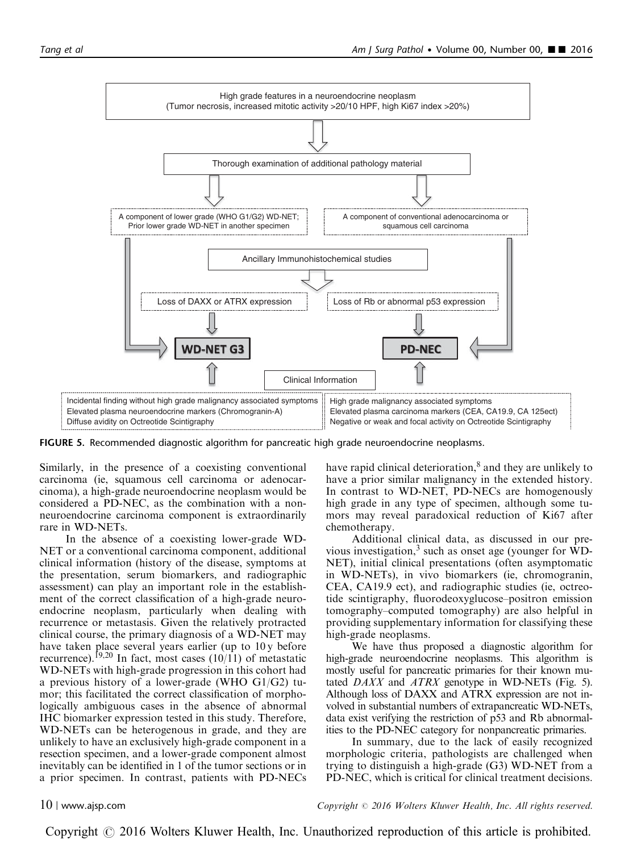

FIGURE 5. Recommended diagnostic algorithm for pancreatic high grade neuroendocrine neoplasms.

Similarly, in the presence of a coexisting conventional carcinoma (ie, squamous cell carcinoma or adenocarcinoma), a high-grade neuroendocrine neoplasm would be considered a PD-NEC, as the combination with a nonneuroendocrine carcinoma component is extraordinarily rare in WD-NETs.

In the absence of a coexisting lower-grade WD-NET or a conventional carcinoma component, additional clinical information (history of the disease, symptoms at the presentation, serum biomarkers, and radiographic assessment) can play an important role in the establishment of the correct classification of a high-grade neuroendocrine neoplasm, particularly when dealing with recurrence or metastasis. Given the relatively protracted clinical course, the primary diagnosis of a WD-NET may have taken place several years earlier (up to 10y before recurrence).<sup>[19,20](#page-10-0)</sup> In fact, most cases (10/11) of metastatic WD-NETs with high-grade progression in this cohort had a previous history of a lower-grade (WHO G1/G2) tumor; this facilitated the correct classification of morphologically ambiguous cases in the absence of abnormal IHC biomarker expression tested in this study. Therefore, WD-NETs can be heterogenous in grade, and they are unlikely to have an exclusively high-grade component in a resection specimen, and a lower-grade component almost inevitably can be identified in 1 of the tumor sections or in a prior specimen. In contrast, patients with PD-NECs have rapid clinical deterioration, $\delta$  and they are unlikely to have a prior similar malignancy in the extended history. In contrast to WD-NET, PD-NECs are homogenously high grade in any type of specimen, although some tumors may reveal paradoxical reduction of Ki67 after chemotherapy.

Additional clinical data, as discussed in our previous investigation, $3$  such as onset age (younger for WD-NET), initial clinical presentations (often asymptomatic in WD-NETs), in vivo biomarkers (ie, chromogranin, CEA, CA19.9 ect), and radiographic studies (ie, octreotide scintigraphy, fluorodeoxyglucose–positron emission tomography–computed tomography) are also helpful in providing supplementary information for classifying these high-grade neoplasms.

We have thus proposed a diagnostic algorithm for high-grade neuroendocrine neoplasms. This algorithm is mostly useful for pancreatic primaries for their known mutated  $DAXX$  and  $ATRX$  genotype in WD-NETs (Fig. 5). Although loss of DAXX and ATRX expression are not involved in substantial numbers of extrapancreatic WD-NETs, data exist verifying the restriction of p53 and Rb abnormalities to the PD-NEC category for nonpancreatic primaries.

In summary, due to the lack of easily recognized morphologic criteria, pathologists are challenged when trying to distinguish a high-grade (G3) WD-NET from a PD-NEC, which is critical for clinical treatment decisions.

10 <sup>|</sup> www.ajsp.com Copyright <sup>r</sup> 2016 Wolters Kluwer Health, Inc. All rights reserved.